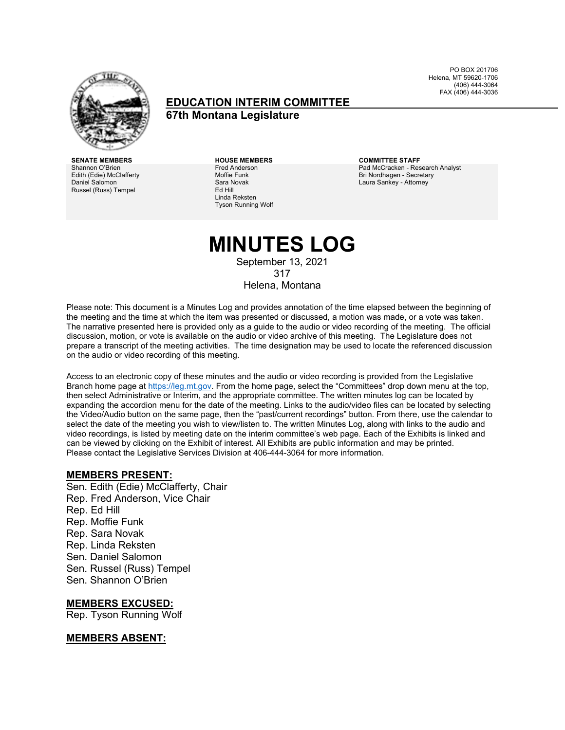

#### **EDUCATION INTERIM COMMITTEE 67th Montana Legislature**

PO BOX 201706 Helena, MT 59620-1706 (406) 444-3064 FAX (406) 444-3036

**SENATE MEMBERS HOUSE MEMBERS COMMITTEE STAFF** Shannon O'Brien Edith (Edie) McClafferty Daniel Salomon Russel (Russ) Tempel

Fred Anderson Moffie Funk Sara Novak Ed Hill Linda Reksten Tyson Running Wolf

Pad McCracken - Research Analyst Bri Nordhagen - Secretary Laura Sankey - Attorney

### **MINUTES LOG** September 13, 2021 317

Helena, Montana

Please note: This document is a Minutes Log and provides annotation of the time elapsed between the beginning of the meeting and the time at which the item was presented or discussed, a motion was made, or a vote was taken. The narrative presented here is provided only as a guide to the audio or video recording of the meeting. The official discussion, motion, or vote is available on the audio or video archive of this meeting. The Legislature does not prepare a transcript of the meeting activities. The time designation may be used to locate the referenced discussion on the audio or video recording of this meeting.

Access to an electronic copy of these minutes and the audio or video recording is provided from the Legislative Branch home page a[t https://leg.mt.gov.](http://legmt.gov/) From the home page, select the "Committees" drop down menu at the top, then select Administrative or Interim, and the appropriate committee. The written minutes log can be located by expanding the accordion menu for the date of the meeting. Links to the audio/video files can be located by selecting the Video/Audio button on the same page, then the "past/current recordings" button. From there, use the calendar to select the date of the meeting you wish to view/listen to. The written Minutes Log, along with links to the audio and video recordings, is listed by meeting date on the interim committee's web page. Each of the Exhibits is linked and can be viewed by clicking on the Exhibit of interest. All Exhibits are public information and may be printed. Please contact the Legislative Services Division at 406-444-3064 for more information.

#### **MEMBERS PRESENT:**

Sen. Edith (Edie) McClafferty, Chair Rep. Fred Anderson, Vice Chair Rep. Ed Hill Rep. Moffie Funk Rep. Sara Novak Rep. Linda Reksten Sen. Daniel Salomon Sen. Russel (Russ) Tempel Sen. Shannon O'Brien

#### **MEMBERS EXCUSED:**

Rep. Tyson Running Wolf

#### **MEMBERS ABSENT:**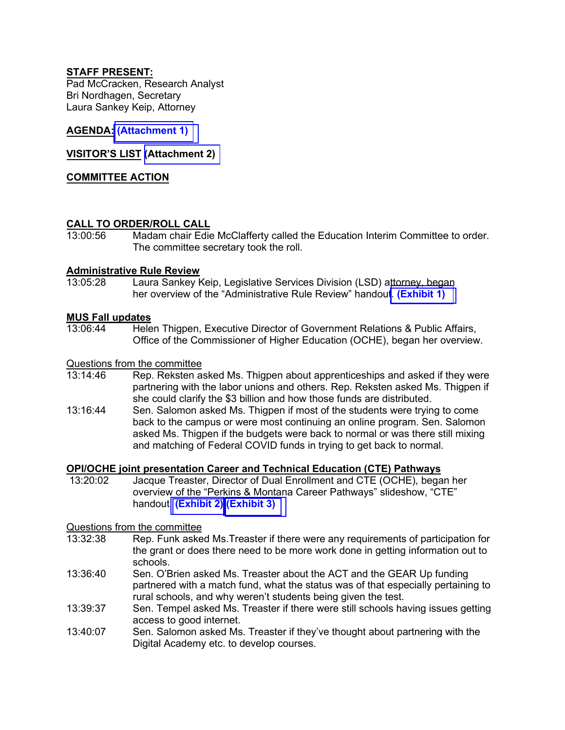#### **STAFF PRESENT:**

Pad McCracken, Research Analyst Bri Nordhagen, Secretary Laura Sankey Keip, Attorney

#### **AGENDA: [\(Attachment 1\)](https://leg.mt.gov/content/Committees/Interim/2021-2022/Local-Gov/21_Sept/Sept-2021-FINAL-agenda.pdf)**

#### **VISITOR'S LIST [\(Attachment 2\)](https://leg.mt.gov/content/Committees/Interim/2021-2022/Education/Meetings/Sept-2021/VisitorsList.pdf)**

#### **COMMITTEE ACTION**

#### **CALL TO ORDER/ROLL CALL**

13:00:56 Madam chair Edie McClafferty called the Education Interim Committee to order. The committee secretary took the roll.

## **Administrative Rule Review**

Laura Sankey Keip, Legislative Services Division (LSD) attorney, began her overview of the "Administrative Rule Review" handout. **[\(Exhibit 1\)](https://leg.mt.gov/content/Committees/Interim/2021-2022/Local-Gov/21_Sept/Sept-2021-Rule-Review.pdf)** 

#### **MUS Fall updates**

13:06:44 Helen Thigpen, Executive Director of Government Relations & Public Affairs, Office of the Commissioner of Higher Education (OCHE), began her overview.

### Questions from the committee<br>13:14:46 Rep. Reksten as

- Rep. Reksten asked Ms. Thigpen about apprenticeships and asked if they were partnering with the labor unions and others. Rep. Reksten asked Ms. Thigpen if she could clarify the \$3 billion and how those funds are distributed.
- 13:16:44 Sen. Salomon asked Ms. Thigpen if most of the students were trying to come back to the campus or were most continuing an online program. Sen. Salomon asked Ms. Thigpen if the budgets were back to normal or was there still mixing and matching of Federal COVID funds in trying to get back to normal.

### **OPI/OCHE joint presentation Career and Technical Education (CTE) Pathways**<br>13:20:02 Jacque Treaster, Director of Dual Enrollment and CTE (OCHE), bega

Jacque Treaster, Director of Dual Enrollment and CTE (OCHE), began her overview of the "Perkins & Montana Career Pathways" slideshow, "CTE" handout. **[\(Exhibit 2\)](https://leg.mt.gov/content/Committees/Interim/2021-2022/Local-Gov/21_Sept/OCHE-CTE-EDIC-Sept-2021-Slides.pdf) [\(Exhibit 3\)](https://leg.mt.gov/content/Committees/Interim/2021-2022/Local-Gov/21_Sept/CSCT-Update-Memo-9-7-2021.pdf)** 

### Questions from the committee

- Rep. Funk asked Ms. Treaster if there were any requirements of participation for the grant or does there need to be more work done in getting information out to schools.
- 13:36:40 Sen. O'Brien asked Ms. Treaster about the ACT and the GEAR Up funding partnered with a match fund, what the status was of that especially pertaining to rural schools, and why weren't students being given the test.
- 13:39:37 Sen. Tempel asked Ms. Treaster if there were still schools having issues getting access to good internet.
- 13:40:07 Sen. Salomon asked Ms. Treaster if they've thought about partnering with the Digital Academy etc. to develop courses.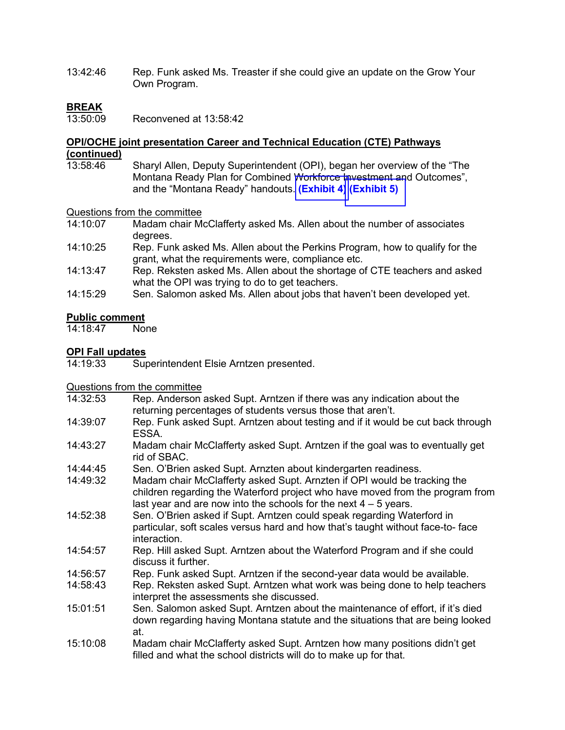13:42:46 Rep. Funk asked Ms. Treaster if she could give an update on the Grow Your Own Program.

### **BREAK**<br>13:50:09

Reconvened at 13:58:42

### **OPI/OCHE joint presentation Career and Technical Education (CTE) Pathways (continued)**

Sharyl Allen, Deputy Superintendent (OPI), began her overview of the "The Montana Ready Plan for Combined Workforce Investment and Outcomes", and the "Montana Ready" handouts. **[\(Exhibit 4\)](https://leg.mt.gov/content/Committees/Interim/2021-2022/Education/Meetings/Sept-2021/MontanaReadyPlan.pdf) [\(Exhibit 5\)](https://leg.mt.gov/content/Committees/Interim/2021-2022/Education/Meetings/Sept-2021/CTE-MT-Ready.pdf)** 

### Questions from the committee<br>14:10:07 Madam chair Me

- Madam chair McClafferty asked Ms. Allen about the number of associates degrees.
- 14:10:25 Rep. Funk asked Ms. Allen about the Perkins Program, how to qualify for the grant, what the requirements were, compliance etc.
- 14:13:47 Rep. Reksten asked Ms. Allen about the shortage of CTE teachers and asked what the OPI was trying to do to get teachers.
- 14:15:29 Sen. Salomon asked Ms. Allen about jobs that haven't been developed yet.

#### **Public comment**

14:18:47 None

### **OPI Fall updates**

Superintendent Elsie Arntzen presented.

### Questions from the committee<br>14:32:53 Rep. Anderson

- Rep. Anderson asked Supt. Arntzen if there was any indication about the returning percentages of students versus those that aren't.
- 14:39:07 Rep. Funk asked Supt. Arntzen about testing and if it would be cut back through ESSA.
- 14:43:27 Madam chair McClafferty asked Supt. Arntzen if the goal was to eventually get rid of SBAC.
- 14:44:45 Sen. O'Brien asked Supt. Arnzten about kindergarten readiness.
- 14:49:32 Madam chair McClafferty asked Supt. Arnzten if OPI would be tracking the children regarding the Waterford project who have moved from the program from last year and are now into the schools for the next  $4 - 5$  years.
- 14:52:38 Sen. O'Brien asked if Supt. Arntzen could speak regarding Waterford in particular, soft scales versus hard and how that's taught without face-to- face interaction.
- 14:54:57 Rep. Hill asked Supt. Arntzen about the Waterford Program and if she could discuss it further.
- 14:56:57 Rep. Funk asked Supt. Arntzen if the second-year data would be available.
- 14:58:43 Rep. Reksten asked Supt. Arntzen what work was being done to help teachers interpret the assessments she discussed.
- 15:01:51 Sen. Salomon asked Supt. Arntzen about the maintenance of effort, if it's died down regarding having Montana statute and the situations that are being looked at.
- 15:10:08 Madam chair McClafferty asked Supt. Arntzen how many positions didn't get filled and what the school districts will do to make up for that.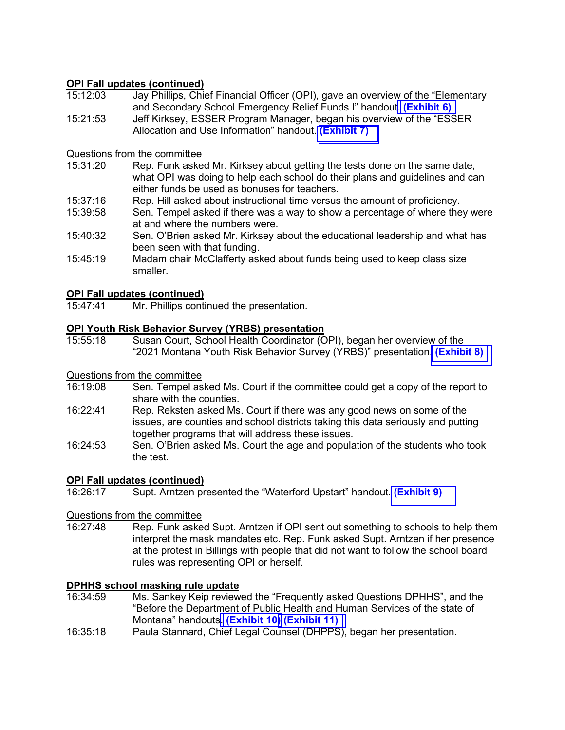#### **OPI Fall updates (continued)**

- 15:12:03 Jay Phillips, Chief Financial Officer (OPI), gave an overview of the "Elementary and Secondary School Emergency Relief Funds I" handout. **[\(Exhibit 6\)](https://leg.mt.gov/content/Committees/Interim/2021-2022/Education/Meetings/Sept-2021/ESSER_IEC.pdf)**
- 15:21:53 Jeff Kirksey, ESSER Program Manager, began his overview of the "ESSER Allocation and Use Information" handout. **[\(Exhibit 7\)](https://leg.mt.gov/content/Committees/Interim/2021-2022/Local-Gov/21_Sept/ESSERFundingUpdate.pdf)**

### Questions from the committee<br>15:31:20 Rep. Funk aske

- Rep. Funk asked Mr. Kirksey about getting the tests done on the same date, what OPI was doing to help each school do their plans and guidelines and can either funds be used as bonuses for teachers.
- 15:37:16 Rep. Hill asked about instructional time versus the amount of proficiency.
- 15:39:58 Sen. Tempel asked if there was a way to show a percentage of where they were at and where the numbers were.
- 15:40:32 Sen. O'Brien asked Mr. Kirksey about the educational leadership and what has been seen with that funding.
- 15:45:19 Madam chair McClafferty asked about funds being used to keep class size smaller.

### **OPI Fall updates (continued)**

Mr. Phillips continued the presentation.

## **OPI Youth Risk Behavior Survey (YRBS) presentation**

Susan Court, School Health Coordinator (OPI), began her overview of the "2021 Montana Youth Risk Behavior Survey (YRBS)" presentation. **[\(Exhibit 8\)](https://leg.mt.gov/content/Committees/Interim/2021-2022/Local-Gov/21_Sept/2021YRBS.pdf)** 

### Questions from the committee

- Sen. Tempel asked Ms. Court if the committee could get a copy of the report to share with the counties.
- 16:22:41 Rep. Reksten asked Ms. Court if there was any good news on some of the issues, are counties and school districts taking this data seriously and putting together programs that will address these issues.
- 16:24:53 Sen. O'Brien asked Ms. Court the age and population of the students who took the test.

#### **OPI Fall updates (continued)**

16:26:17 Supt. Arntzen presented the "Waterford Upstart" handout. **[\(Exhibit 9\)](https://leg.mt.gov/content/Committees/Interim/2021-2022/Education/Meetings/Sept-2021/WatorFordUpstart.pdf)**

### Questions from the committee<br>16:27:48 Rep. Funk aske

Rep. Funk asked Supt. Arntzen if OPI sent out something to schools to help them interpret the mask mandates etc. Rep. Funk asked Supt. Arntzen if her presence at the protest in Billings with people that did not want to follow the school board rules was representing OPI or herself.

#### **DPHHS school masking rule update**

- 16:34:59 Ms. Sankey Keip reviewed the "Frequently asked Questions DPHHS", and the "Before the Department of Public Health and Human Services of the state of Montana" handouts. **[\(Exhibit 10](https://leg.mt.gov/content/Committees/Interim/2021-2022/Local-Gov/21_Sept/FAQEmergencyRule09022021.pdf)[\)](https://leg.mt.gov/content/Committees/Interim/2021-2022/Education/Meetings/Sept-2021/FAQEmergencyRule09022021.pdf) [\(Exhibit 11\)](https://leg.mt.gov/content/Committees/Interim/2021-2022/Local-Gov/21_Sept/MAR_37-960.pdf)**
- 16:35:18 Paula Stannard, Chief Legal Counsel (DHPPS), began her presentation.